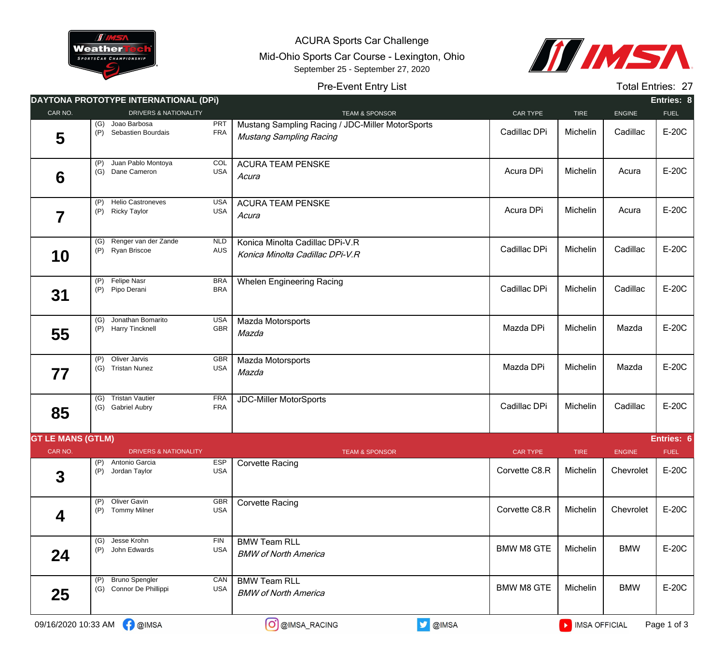

ACURA Sports Car Challenge Mid-Ohio Sports Car Course - Lexington, Ohio September 25 - September 27, 2020



## Pre-Event Entry List

Total Entries: 27

|                          |            | DAYTONA PROTOTYPE INTERNATIONAL (DPI)            |                          |                                                                                    |                   |               |               | Entries: 8  |
|--------------------------|------------|--------------------------------------------------|--------------------------|------------------------------------------------------------------------------------|-------------------|---------------|---------------|-------------|
| CAR NO.                  |            | <b>DRIVERS &amp; NATIONALITY</b>                 |                          | <b>TEAM &amp; SPONSOR</b>                                                          | CAR TYPE          | <b>TIRE</b>   | <b>ENGINE</b> | <b>FUEL</b> |
| 5                        | (G)<br>(P) | Joao Barbosa<br>Sebastien Bourdais               | <b>PRT</b><br><b>FRA</b> | Mustang Sampling Racing / JDC-Miller MotorSports<br><b>Mustang Sampling Racing</b> | Cadillac DPi      | Michelin      | Cadillac      | E-20C       |
| 6                        | (P)<br>(G) | Juan Pablo Montoya<br>Dane Cameron               | COL<br><b>USA</b>        | <b>ACURA TEAM PENSKE</b><br>Acura                                                  | Acura DPi         | Michelin      | Acura         | E-20C       |
| 7                        | (P)<br>(P) | <b>Helio Castroneves</b><br><b>Ricky Taylor</b>  | USA<br><b>USA</b>        | <b>ACURA TEAM PENSKE</b><br>Acura                                                  | Acura DPi         | Michelin      | Acura         | E-20C       |
| 10                       |            | (G) Renger van der Zande<br>(P) Ryan Briscoe     | <b>NLD</b><br><b>AUS</b> | Konica Minolta Cadillac DPi-V.R<br>Konica Minolta Cadillac DPi-V.R                 | Cadillac DPi      | Michelin      | Cadillac      | E-20C       |
| 31                       |            | (P) Felipe Nasr<br>(P) Pipo Derani               | <b>BRA</b><br><b>BRA</b> | <b>Whelen Engineering Racing</b>                                                   | Cadillac DPi      | Michelin      | Cadillac      | E-20C       |
| 55                       | (G)        | Jonathan Bomarito<br>(P) Harry Tincknell         | <b>USA</b><br>GBR        | Mazda Motorsports<br>Mazda                                                         | Mazda DPi         | Michelin      | Mazda         | E-20C       |
| 77                       | (P)<br>(G) | Oliver Jarvis<br><b>Tristan Nunez</b>            | <b>GBR</b><br><b>USA</b> | Mazda Motorsports<br>Mazda                                                         | Mazda DPi         | Michelin      | Mazda         | E-20C       |
| 85                       | (G)        | <b>Tristan Vautier</b><br>(G) Gabriel Aubry      | <b>FRA</b><br><b>FRA</b> | <b>JDC-Miller MotorSports</b>                                                      | Cadillac DPi      | Michelin      | Cadillac      | E-20C       |
| <b>GT LE MANS (GTLM)</b> |            |                                                  |                          |                                                                                    |                   |               |               | Entries: 6  |
| CAR NO.                  |            | <b>DRIVERS &amp; NATIONALITY</b>                 |                          | <b>TEAM &amp; SPONSOR</b>                                                          | <b>CAR TYPE</b>   | <b>TIRE</b>   | <b>ENGINE</b> | <b>FUEL</b> |
| $\mathbf 3$              | (P)<br>(P) | Antonio Garcia<br>Jordan Taylor                  | <b>ESP</b><br><b>USA</b> | <b>Corvette Racing</b>                                                             | Corvette C8.R     | Michelin      | Chevrolet     | E-20C       |
| 4                        | (P)<br>(P) | Oliver Gavin<br><b>Tommy Milner</b>              | GBR<br><b>USA</b>        | <b>Corvette Racing</b>                                                             | Corvette C8.R     | Michelin      | Chevrolet     | E-20C       |
| 24                       | (G)<br>(P) | Jesse Krohn<br>John Edwards                      | <b>FIN</b><br><b>USA</b> | <b>BMW Team RLL</b><br><b>BMW of North America</b>                                 | <b>BMW M8 GTE</b> | Michelin      | <b>BMW</b>    | E-20C       |
| 25                       | (P)        | <b>Bruno Spengler</b><br>(G) Connor De Phillippi | CAN<br><b>USA</b>        | <b>BMW Team RLL</b><br><b>BMW of North America</b>                                 | <b>BMW M8 GTE</b> | Michelin      | <b>BMW</b>    | E-20C       |
|                          |            | 09/16/2020 10:33 AM 3 @IMSA                      |                          | <b>D</b> @IMSA<br>O @IMSA_RACING                                                   |                   | MISA OFFICIAL |               | Page 1 of 3 |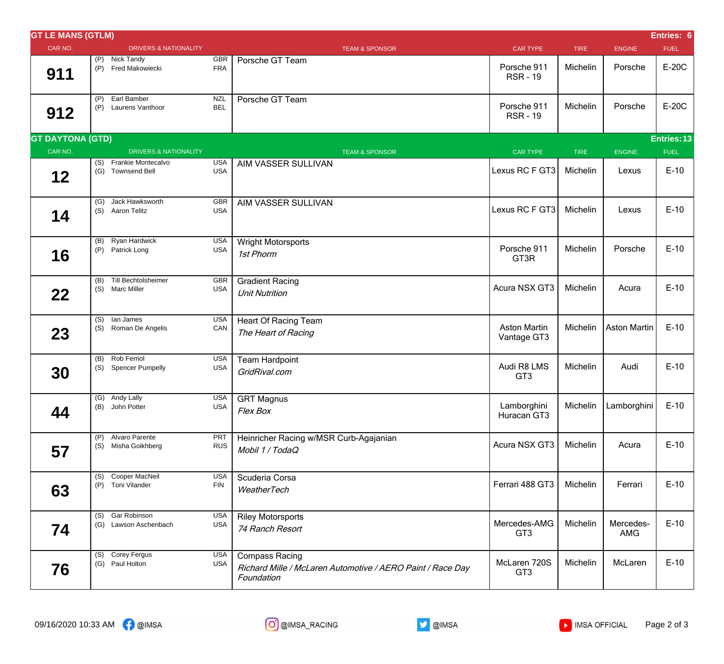| <b>GT LE MANS (GTLM)</b> |            |                                             |                          |                                                                                                   |                                    |             |                     | Entries: 6  |
|--------------------------|------------|---------------------------------------------|--------------------------|---------------------------------------------------------------------------------------------------|------------------------------------|-------------|---------------------|-------------|
| CAR NO.                  |            | <b>DRIVERS &amp; NATIONALITY</b>            |                          | <b>TEAM &amp; SPONSOR</b>                                                                         | <b>CAR TYPE</b>                    | <b>TIRE</b> | <b>ENGINE</b>       | <b>FUEL</b> |
| 911                      |            | (P) Nick Tandy<br>(P) Fred Makowiecki       | GBR<br><b>FRA</b>        | Porsche GT Team                                                                                   | Porsche 911<br><b>RSR-19</b>       | Michelin    | Porsche             | E-20C       |
| 912                      | (P)<br>(P) | Earl Bamber<br>Laurens Vanthoor             | NZL<br><b>BEL</b>        | Porsche GT Team                                                                                   | Porsche 911<br><b>RSR-19</b>       | Michelin    | Porsche             | E-20C       |
| <b>GT DAYTONA (GTD)</b>  |            |                                             |                          |                                                                                                   |                                    |             |                     | Entries: 13 |
| CAR NO.                  |            | <b>DRIVERS &amp; NATIONALITY</b>            |                          | <b>TEAM &amp; SPONSOR</b>                                                                         | <b>CAR TYPE</b>                    | <b>TIRE</b> | <b>ENGINE</b>       | <b>FUEL</b> |
| $12$                     |            | (S) Frankie Montecalvo<br>(G) Townsend Bell | <b>USA</b><br><b>USA</b> | AIM VASSER SULLIVAN                                                                               | Lexus RC F GT3                     | Michelin    | Lexus               | $E-10$      |
| 14                       | (G)<br>(S) | Jack Hawksworth<br>Aaron Telitz             | <b>GBR</b><br><b>USA</b> | AIM VASSER SULLIVAN                                                                               | Lexus RC F GT3                     | Michelin    | Lexus               | $E-10$      |
| 16                       |            | (B) Ryan Hardwick<br>(P) Patrick Long       | <b>USA</b><br><b>USA</b> | <b>Wright Motorsports</b><br>1st Phorm                                                            | Porsche 911<br>GT3R                | Michelin    | Porsche             | $E-10$      |
| 22                       |            | (B) Till Bechtolsheimer<br>(S) Marc Miller  | GBR<br><b>USA</b>        | <b>Gradient Racing</b><br><b>Unit Nutrition</b>                                                   | Acura NSX GT3                      | Michelin    | Acura               | $E-10$      |
| 23                       | (S)        | $(S)$ lan James<br>Roman De Angelis         | <b>USA</b><br>CAN        | <b>Heart Of Racing Team</b><br>The Heart of Racing                                                | <b>Aston Martin</b><br>Vantage GT3 | Michelin    | <b>Aston Martin</b> | $E-10$      |
| 30                       | (B)        | <b>Rob Ferriol</b><br>(S) Spencer Pumpelly  | <b>USA</b><br><b>USA</b> | <b>Team Hardpoint</b><br>GridRival.com                                                            | Audi R8 LMS<br>GT <sub>3</sub>     | Michelin    | Audi                | $E-10$      |
| 44                       | (B)        | (G) Andy Lally<br>John Potter               | <b>USA</b><br><b>USA</b> | <b>GRT Magnus</b><br>Flex Box                                                                     | Lamborghini<br>Huracan GT3         | Michelin    | Lamborghini         | $E-10$      |
| 57                       | (S)        | (P) Alvaro Parente<br>Misha Goikhberg       | PRT<br><b>RUS</b>        | Heinricher Racing w/MSR Curb-Agajanian<br>Mobil 1 / TodaQ                                         | Acura NSX GT3                      | Michelin    | Acura               | $E-10$      |
| 63                       | (S)        | Cooper MacNeil<br>(P) Toni Vilander         | <b>USA</b><br><b>FIN</b> | Scuderia Corsa<br>WeatherTech                                                                     | Ferrari 488 GT3                    | Michelin    | Ferrari             | $E-10$      |
| 74                       |            | (S) Gar Robinson<br>(G) Lawson Aschenbach   | <b>USA</b><br>USA        | <b>Riley Motorsports</b><br>74 Ranch Resort                                                       | Mercedes-AMG<br>GT <sub>3</sub>    | Michelin    | Mercedes-<br>AMG    | $E-10$      |
| 76                       |            | (S) Corey Fergus<br>(G) Paul Holton         | <b>USA</b><br>USA        | <b>Compass Racing</b><br>Richard Mille / McLaren Automotive / AERO Paint / Race Day<br>Foundation | McLaren 720S<br>GT <sub>3</sub>    | Michelin    | McLaren             | $E-10$      |